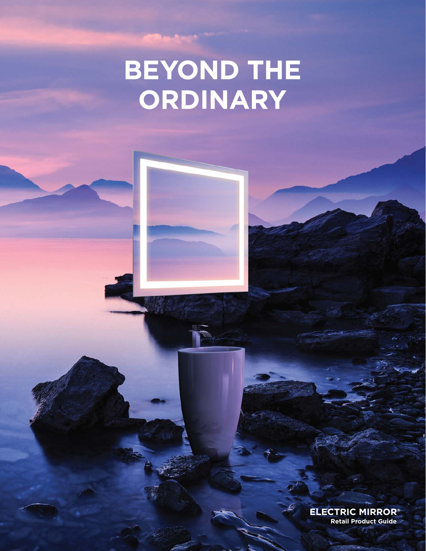# BEYOND THE<br>ORDINARY

**ELECTRIC MIRROR® Retail Product Guide**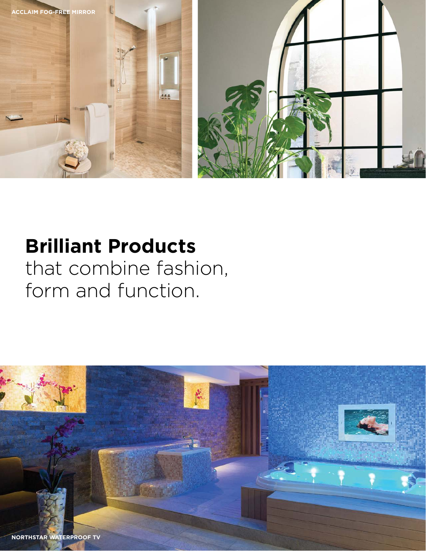

### **Brilliant Products** that combine fashion, form and function.

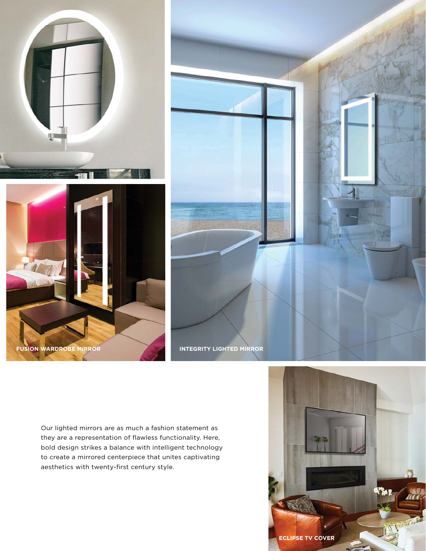





Our lighted mirrors are as much a fashion statement as they are a representation of flawless functionality. Here, bold design strikes a balance with intelligent technology to create a mirrored centerpiece that unites captivating aesthetics with twenty-first century style.

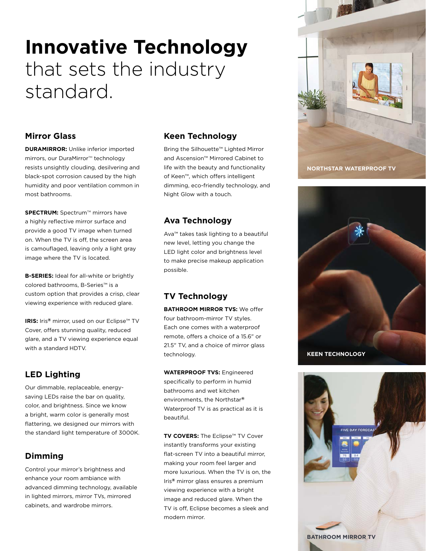# **Innovative Technology** that sets the industry standard.

#### **Mirror Glass**

**DURAMIRROR: Unlike inferior imported** mirrors, our DuraMirror™ technology resists unsightly clouding, desilvering and black-spot corrosion caused by the high humidity and poor ventilation common in most bathrooms.

**SPECTRUM:** Spectrum™ mirrors have a highly reflective mirror surface and provide a good TV image when turned on. When the TV is off, the screen area is camouflaged, leaving only a light gray image where the TV is located.

**B-SERIES:** Ideal for all-white or brightly colored bathrooms, B-Series™ is a custom option that provides a crisp, clear viewing experience with reduced glare.

**IRIS:** Iris**®** mirror, used on our Eclipse™ TV Cover, offers stunning quality, reduced glare, and a TV viewing experience equal with a standard HDTV.

### **LED Lighting**

Our dimmable, replaceable, energysaving LEDs raise the bar on quality, color, and brightness. Since we know a bright, warm color is generally most flattering, we designed our mirrors with the standard light temperature of 3000K.

### **Dimming**

Control your mirror's brightness and enhance your room ambiance with advanced dimming technology, available in lighted mirrors, mirror TVs, mirrored cabinets, and wardrobe mirrors.

#### **Keen Technology**

Bring the Silhouette™ Lighted Mirror and Ascension™ Mirrored Cabinet to life with the beauty and functionality of Keen™, which offers intelligent dimming, eco-friendly technology, and Night Glow with a touch.

### **Ava Technology**

Ava™ takes task lighting to a beautiful new level, letting you change the LED light color and brightness level to make precise makeup application possible.

### **TV Technology**

**BATHROOM MIRROR TVS:** We offer four bathroom-mirror TV styles. Each one comes with a waterproof remote, offers a choice of a 15.6" or 21.5" TV, and a choice of mirror glass technology.

**WATERPROOF TVS:** Engineered specifically to perform in humid bathrooms and wet kitchen environments, the Northstar**®** Waterproof TV is as practical as it is beautiful.

**TV COVERS:** The Eclipse™ TV Cover instantly transforms your existing flat-screen TV into a beautiful mirror, making your room feel larger and more luxurious. When the TV is on, the Iris**®** mirror glass ensures a premium viewing experience with a bright image and reduced glare. When the TV is off, Eclipse becomes a sleek and modern mirror.





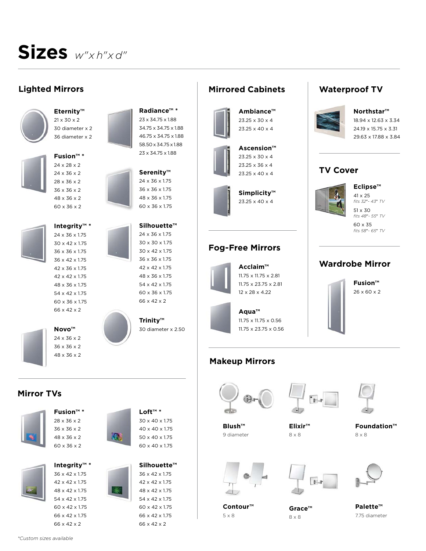# **Sizes** *w"x h"x d"*

### **Lighted Mirrors**



**Eternity™** 21 x 30 x 2 30 diameter x 2 36 diameter x 2



**Fusion™ \*** 24 x 28 x 2 24 x 36 x 2 28 x 36 x 2





**Integrity™ \*** 24 x 36 x 1.75 30 x 42 x 1.75 36 x 36 x 1.75 36 x 42 x 1.75 42 x 36 x 1.75 42 x 42 x 1.75

54 x 42 x 1.75 60 x 36 x 1.75 66 x 42 x 2

**Novo™** 24 x 36 x 2 36 x 36 x 2 48 x 36 x 2



**Radiance™ \*** 23 x 34.75 x 1.88 34.75 x 34.75 x 1.88 46.75 x 34.75 x 1.88 58.50 x 34.75 x 1.88 23 x 34.75 x 1.88



| Silhouette™               |
|---------------------------|
| 24 x 36 x 1.75            |
| 30 x 30 x 1.75            |
| 30 x 42 x 1.75            |
| 36 x 36 x 1.75            |
| 42 x 42 x 1.75            |
| 48 x 36 x 175             |
| $54 \times 42 \times 175$ |
| 60 x 36 x 1.75            |
| 66 x 42 x 2               |
|                           |

**Trinity™** 30 diameter x 2.50

### **Mirrored Cabinets**

**Ambiance™** 23.25 x 30 x 4 23.25 x 40 x 4



**Simplicity™**

23.25 x 40 x 4

### **Fog-Free Mirrors**

**Acclaim™** 11.75 x 11.75 x 2.81 11.75 x 23.75 x 2.81 12 x 28 x 4.22

> **Aqua™** 11.75 x 11.75 x 0.56 11.75 x 23.75 x 0.56

### **Makeup Mirrors**



**Blush™** 9 diameter





**Wardrobe Mirror**

**Fusion™** 26 x 60 x 2

**Waterproof TV**

**Northstar™** 18.94 x 12.63 x 3.34 24.19 x 15.75 x 3.31 29.63 x 17.88 x 3.84

**Eclipse™** 41 x 25 *fits 32*"*- 43*" *TV* 51 x 30 *fits 48*"*- 55*" *TV* 60 x 35 *fits 58*"*- 65*" *TV*

**TV Cover**

**Foundation™** 8 x 8



**Contour™** 5 x 8

8 x 8



**Palette™** 7.75 diameter







**Mirror TVs**



48 x 42 x 1.75 54 x 42 x 1.75 60 x 42 x 1.75 66 x 42 x 1.75 66 x 42 x 2





**Silhouette™**  36 x 42 x 1.75 42 x 42 x 1.75 48 x 42 x 1.75 54 x 42 x 1.75 60 x 42 x 1.75 66 x 42 x 1.75 66 x 42 x 2



**Elixir™** 8 x 8